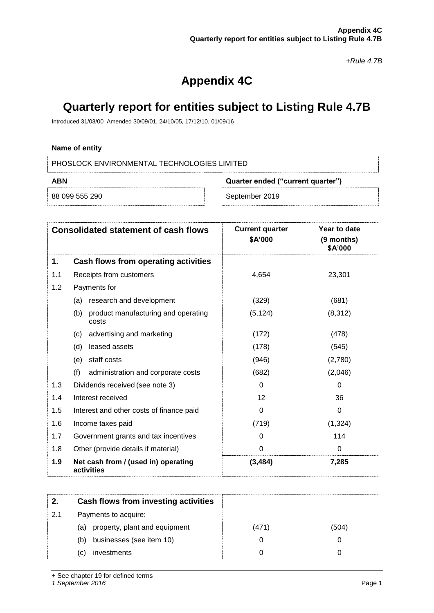*+Rule 4.7B*

# **Appendix 4C**

## **Quarterly report for entities subject to Listing Rule 4.7B**

Introduced 31/03/00 Amended 30/09/01, 24/10/05, 17/12/10, 01/09/16

#### **Name of entity**

PHOSLOCK ENVIRONMENTAL TECHNOLOGIES LIMITED

| ABN            | Quarter ended ("current quarter") |                |
|----------------|-----------------------------------|----------------|
| 88 099 555 290 |                                   | September 2019 |

|     | <b>Consolidated statement of cash flows</b>         | <b>Current quarter</b><br>\$A'000 | Year to date<br>(9 months)<br>\$A'000 |
|-----|-----------------------------------------------------|-----------------------------------|---------------------------------------|
| 1.  | Cash flows from operating activities                |                                   |                                       |
| 1.1 | Receipts from customers                             | 4,654                             | 23,301                                |
| 1.2 | Payments for                                        |                                   |                                       |
|     | research and development<br>(a)                     | (329)                             | (681)                                 |
|     | (b)<br>product manufacturing and operating<br>costs | (5, 124)                          | (8, 312)                              |
|     | advertising and marketing<br>(c)                    | (172)                             | (478)                                 |
|     | (d)<br>leased assets                                | (178)                             | (545)                                 |
|     | staff costs<br>(e)                                  | (946)                             | (2,780)                               |
|     | (f)<br>administration and corporate costs           | (682)                             | (2,046)                               |
| 1.3 | Dividends received (see note 3)                     | $\Omega$                          | $\Omega$                              |
| 1.4 | Interest received                                   | 12                                | 36                                    |
| 1.5 | Interest and other costs of finance paid            | 0                                 | 0                                     |
| 1.6 | Income taxes paid                                   | (719)                             | (1, 324)                              |
| 1.7 | Government grants and tax incentives                | 0                                 | 114                                   |
| 1.8 | Other (provide details if material)                 | $\Omega$                          | $\Omega$                              |
| 1.9 | Net cash from / (used in) operating<br>activities   | (3, 484)                          | 7,285                                 |

| Cash flows from investing activities |       |       |
|--------------------------------------|-------|-------|
| Payments to acquire:                 |       |       |
| property, plant and equipment<br>(a) | (471) | (504) |
| businesses (see item 10)<br>(b)      | O     |       |
| investments<br>C)                    | 0     |       |
|                                      |       |       |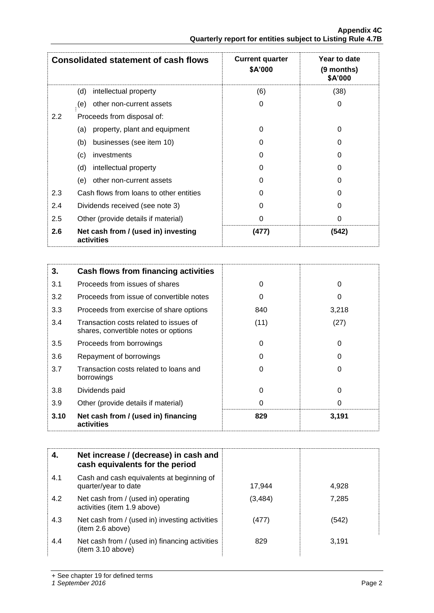|                  | <b>Consolidated statement of cash flows</b>       | <b>Current quarter</b><br><b>\$A'000</b> | Year to date<br>(9 months)<br>\$A'000 |
|------------------|---------------------------------------------------|------------------------------------------|---------------------------------------|
|                  | intellectual property<br>(d)                      | (6)                                      | (38)                                  |
|                  | other non-current assets<br>(e)                   | 0                                        | 0                                     |
| $2.2\phantom{0}$ | Proceeds from disposal of:                        |                                          |                                       |
|                  | property, plant and equipment<br>(a)              | 0                                        | 0                                     |
|                  | businesses (see item 10)<br>(b)                   | O                                        |                                       |
|                  | (c)<br>investments                                | 0                                        | O                                     |
|                  | (d)<br>intellectual property                      | O                                        | O                                     |
|                  | (e)<br>other non-current assets                   | O                                        |                                       |
| 2.3              | Cash flows from loans to other entities           | 0                                        | O                                     |
| 2.4              | Dividends received (see note 3)                   | 0                                        |                                       |
| 2.5              | Other (provide details if material)               | 0                                        | 0                                     |
| 2.6              | Net cash from / (used in) investing<br>activities | (477)                                    | (542)                                 |

| 3.   | Cash flows from financing activities                                           |      |       |
|------|--------------------------------------------------------------------------------|------|-------|
| 3.1  | Proceeds from issues of shares                                                 | 0    | 0     |
| 3.2  | Proceeds from issue of convertible notes                                       | 0    | 0     |
| 3.3  | Proceeds from exercise of share options                                        | 840  | 3,218 |
| 3.4  | Transaction costs related to issues of<br>shares, convertible notes or options | (11) | (27)  |
| 3.5  | Proceeds from borrowings                                                       | 0    | 0     |
| 3.6  | Repayment of borrowings                                                        | O    | 0     |
| 3.7  | Transaction costs related to loans and<br>borrowings                           | 0    | 0     |
| 3.8  | Dividends paid                                                                 | 0    | 0     |
| 3.9  | Other (provide details if material)                                            | 0    | 0     |
| 3.10 | Net cash from / (used in) financing<br>activities                              | 829  | 3,191 |

|     | Net increase / (decrease) in cash and<br>cash equivalents for the period |          |       |
|-----|--------------------------------------------------------------------------|----------|-------|
| 4.1 | Cash and cash equivalents at beginning of<br>quarter/year to date        | 17.944   | 4,928 |
| 4.2 | Net cash from / (used in) operating<br>activities (item 1.9 above)       | (3, 484) | 7,285 |
| 4.3 | Net cash from / (used in) investing activities<br>(item 2.6 above)       | (477)    | (542) |
| 4.4 | Net cash from / (used in) financing activities<br>(item 3.10 above)      | 829      | 3,191 |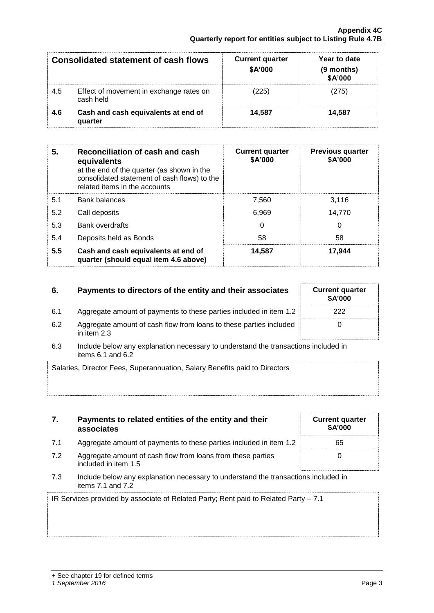|     | <b>Consolidated statement of cash flows</b>          | <b>Current quarter</b><br>\$A'000 | Year to date<br>(9 months)<br>\$A'000 |
|-----|------------------------------------------------------|-----------------------------------|---------------------------------------|
| 4.5 | Effect of movement in exchange rates on<br>cash held | (225)                             | 275)                                  |
| 4.6 | Cash and cash equivalents at end of<br>quarter       | 14.587                            | 14.587                                |

| 5.  | Reconciliation of cash and cash<br>equivalents<br>at the end of the quarter (as shown in the<br>consolidated statement of cash flows) to the<br>related items in the accounts | <b>Current quarter</b><br>\$A'000 | <b>Previous quarter</b><br>\$A'000 |
|-----|-------------------------------------------------------------------------------------------------------------------------------------------------------------------------------|-----------------------------------|------------------------------------|
| 5.1 | <b>Bank balances</b>                                                                                                                                                          | 7.560                             | 3.116                              |
| 5.2 | Call deposits                                                                                                                                                                 | 6.969                             | 14.770                             |
| 5.3 | <b>Bank overdrafts</b>                                                                                                                                                        | 0                                 | 0                                  |
| 5.4 | Deposits held as Bonds                                                                                                                                                        | 58                                | 58                                 |
| 5.5 | Cash and cash equivalents at end of<br>quarter (should equal item 4.6 above)                                                                                                  | 14,587                            | 17,944                             |

## **6.** Payments to directors of the entity and their associates

- 6.1 Aggregate amount of payments to these parties included in item 1.2
- 6.2 Aggregate amount of cash flow from loans to these parties included in item 2.3
- 6.3 Include below any explanation necessary to understand the transactions included in items  $6.1$  and  $6.2$

| Salaries, Director Fees, Superannuation, Salary Benefits paid to Directors |  |
|----------------------------------------------------------------------------|--|
|                                                                            |  |
|                                                                            |  |

| 7. | Payments to related entities of the entity and their |
|----|------------------------------------------------------|
|    | associates                                           |

- 7.1 Aggregate amount of payments to these parties
- 7.2 Aggregate amount of cash flow from loans from included in item 1.5
- 7.3 Include below any explanation necessary to und items 7.1 and 7.2

| 7.1 | Aggregate amount of payments to these parties included in item 1.2                                          | 65 |
|-----|-------------------------------------------------------------------------------------------------------------|----|
| 7.2 | Aggregate amount of cash flow from loans from these parties<br>included in item 1.5                         |    |
| 7.3 | Include below any explanation necessary to understand the transactions included in<br>items $7.1$ and $7.2$ |    |
|     | IR Services provided by associate of Related Party; Rent paid to Related Party - 7.1                        |    |

| <b>Current quarter</b><br>\$A'000 |
|-----------------------------------|
| 222                               |
| ∩                                 |

**Current quarter \$A'000**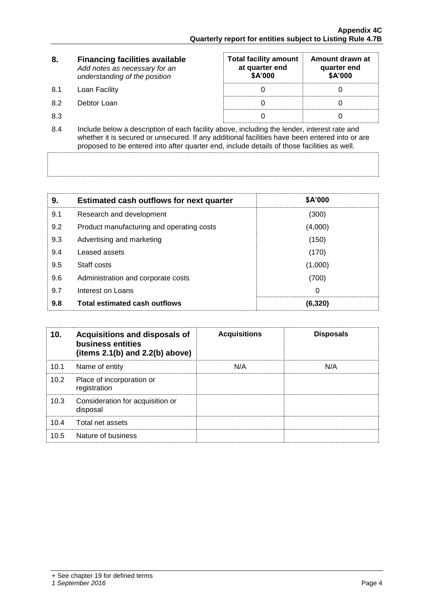| 8.  | <b>Financing facilities available</b><br>Add notes as necessary for an<br>understanding of the position                                                                                                                                                                                      | <b>Total facility amount</b><br>at quarter end<br><b>\$A'000</b> | Amount drawn at<br>quarter end<br>\$A'000 |  |
|-----|----------------------------------------------------------------------------------------------------------------------------------------------------------------------------------------------------------------------------------------------------------------------------------------------|------------------------------------------------------------------|-------------------------------------------|--|
| 8.1 | Loan Facility                                                                                                                                                                                                                                                                                |                                                                  |                                           |  |
| 8.2 | Debtor Loan                                                                                                                                                                                                                                                                                  |                                                                  |                                           |  |
| 8.3 |                                                                                                                                                                                                                                                                                              |                                                                  |                                           |  |
| 8.4 | Include below a description of each facility above, including the lender, interest rate and<br>whether it is secured or unsecured. If any additional facilities have been entered into or are<br>proposed to be entered into after quarter end, include details of those facilities as well. |                                                                  |                                           |  |

| 9.  | <b>Estimated cash outflows for next quarter</b> | <b>\$A'000</b> |
|-----|-------------------------------------------------|----------------|
| 9.1 | Research and development                        | (300)          |
| 9.2 | Product manufacturing and operating costs       | (4,000)        |
| 9.3 | Advertising and marketing                       | (150)          |
| 9.4 | Leased assets                                   | (170)          |
| 9.5 | Staff costs                                     | (1,000)        |
| 9.6 | Administration and corporate costs              | (700)          |
| 9.7 | Interest on Loans                               | 0              |
| 9.8 | <b>Total estimated cash outflows</b>            | (6.320)        |

| 10.  | Acquisitions and disposals of<br>business entities<br>(items $2.1(b)$ and $2.2(b)$ above) | <b>Acquisitions</b> | <b>Disposals</b> |
|------|-------------------------------------------------------------------------------------------|---------------------|------------------|
| 10.1 | Name of entity                                                                            | N/A                 | N/A              |
| 10.2 | Place of incorporation or<br>registration                                                 |                     |                  |
| 10.3 | Consideration for acquisition or<br>disposal                                              |                     |                  |
| 10.4 | Total net assets                                                                          |                     |                  |
| 10.5 | Nature of business                                                                        |                     |                  |